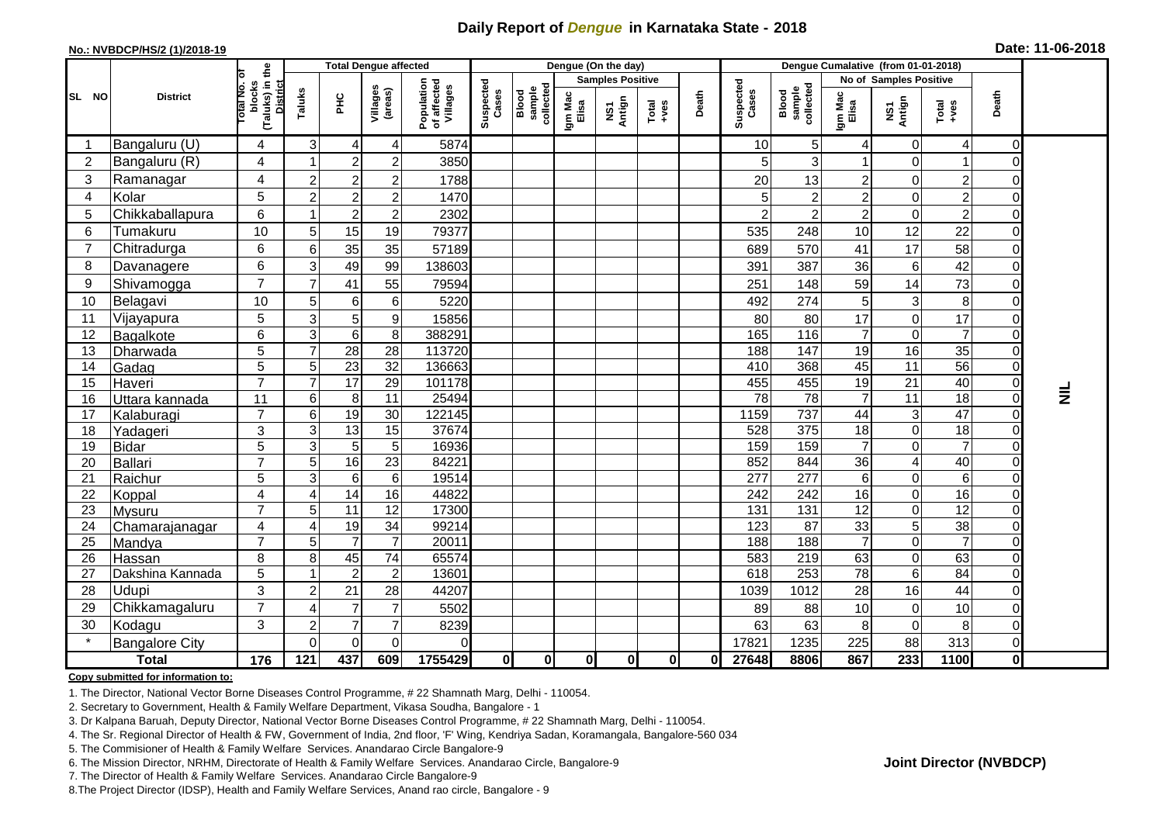## **Daily Report of** *Dengue* **in Karnataka State - 2018**

#### **No.: NVBDCP/HS/2 (1)/2018-19**

|  |  | Date: 11-06-2018 |  |
|--|--|------------------|--|
|--|--|------------------|--|

|                |                       |                                                                  |                |                 | Dengue (On the day)<br><b>Total Dengue affected</b><br>Dengue Cumalative (from 01-01-2018) |                                       |                    |                              |                  |                         |                                                              |          |                    |                              |                  |                               |                   |                |                 |
|----------------|-----------------------|------------------------------------------------------------------|----------------|-----------------|--------------------------------------------------------------------------------------------|---------------------------------------|--------------------|------------------------------|------------------|-------------------------|--------------------------------------------------------------|----------|--------------------|------------------------------|------------------|-------------------------------|-------------------|----------------|-----------------|
|                | <b>District</b>       | ō                                                                |                |                 |                                                                                            |                                       |                    |                              |                  | <b>Samples Positive</b> |                                                              |          |                    |                              |                  | <b>No of Samples Positive</b> |                   |                |                 |
| SL NO          |                       | (Taluks) in the<br><b>Total No.</b><br>blocks<br><b>District</b> | Taluks         | ĔБ              | Villages<br>(areas)                                                                        | Population<br>of affected<br>Villages | Suspected<br>Cases | collected<br>sample<br>Blood | Igm Mac<br>Elisa | Antign<br>VS7           | $\begin{array}{c}\n\text{Total} \\ \text{Area}\n\end{array}$ | Death    | Suspected<br>Cases | Blood<br>sample<br>collected | Igm Mac<br>Elisa | NS1<br>Antign                 | Total<br>$+ve$ es | Death          |                 |
|                | Bangaluru (U)         | 4                                                                | 3              | 4               | 4                                                                                          | 5874                                  |                    |                              |                  |                         |                                                              |          | 10                 | 5                            | 4                | $\overline{0}$                | 4                 | 0              |                 |
| $\overline{2}$ | Bangaluru (R)         | 4                                                                |                | $\overline{c}$  | $\overline{2}$                                                                             | 3850                                  |                    |                              |                  |                         |                                                              |          | 5                  | 3                            |                  | 0                             |                   | $\Omega$       |                 |
| 3              | Ramanagar             | 4                                                                | 2              | $\overline{c}$  | $\boldsymbol{2}$                                                                           | 1788                                  |                    |                              |                  |                         |                                                              |          | 20                 | 13                           | $2^{1}$          | $\Omega$                      | $\overline{c}$    | 0              |                 |
| $\overline{4}$ | Kolar                 | 5                                                                | $\overline{c}$ | $\overline{c}$  | $\overline{c}$                                                                             | 1470                                  |                    |                              |                  |                         |                                                              |          | 5                  | $\overline{2}$               | $\overline{c}$   | $\overline{0}$                | $\overline{c}$    | 0              |                 |
| 5              | Chikkaballapura       | 6                                                                |                | $\overline{c}$  | $\boldsymbol{2}$                                                                           | 2302                                  |                    |                              |                  |                         |                                                              |          | $\overline{c}$     | $\overline{c}$               | $\overline{2}$   | $\Omega$                      | $\overline{c}$    | $\Omega$       |                 |
| 6              | Tumakuru              | 10                                                               | 5              | 15              | 19                                                                                         | 79377                                 |                    |                              |                  |                         |                                                              |          | 535                | 248                          | 10               | 12                            | 22                | $\overline{0}$ |                 |
|                | Chitradurga           | 6                                                                | 6              | 35              | 35                                                                                         | 57189                                 |                    |                              |                  |                         |                                                              |          | 689                | 570                          | 41               | 17                            | 58                | 0              |                 |
| 8              | Davanagere            | 6                                                                | 3              | 49              | 99                                                                                         | 138603                                |                    |                              |                  |                         |                                                              |          | 391                | 387                          | 36               | $6\vert$                      | 42                | 0              |                 |
| 9              | Shivamogga            | $\overline{7}$                                                   | 7              | 41              | 55                                                                                         | 79594                                 |                    |                              |                  |                         |                                                              |          | 251                | 148                          | 59               | 14                            | 73                | 0              |                 |
| 10             | Belagavi              | 10                                                               | 5              | 6               | 6                                                                                          | 5220                                  |                    |                              |                  |                         |                                                              |          | 492                | 274                          | $5\phantom{.0}$  | $\overline{3}$                | 8                 | 0              |                 |
| 11             | Vijayapura            | 5                                                                | 3              | 5               | 9                                                                                          | 15856                                 |                    |                              |                  |                         |                                                              |          | 80                 | 80                           | 17               | $\overline{0}$                | 17                | 0              |                 |
| 12             | Bagalkote             | 6                                                                | 3              | 6               | $\overline{8}$                                                                             | 388291                                |                    |                              |                  |                         |                                                              |          | 165                | 116                          | $\overline{7}$   | 0                             | $\overline{7}$    | $\overline{0}$ |                 |
| 13             | Dharwada              | 5                                                                | $\overline{7}$ | 28              | $\overline{28}$                                                                            | 113720                                |                    |                              |                  |                         |                                                              |          | 188                | $\frac{147}{147}$            | 19               | 16                            | $\overline{35}$   | 0              |                 |
| 14             | Gadag                 | 5                                                                | 5              | 23              | $\overline{32}$                                                                            | 136663                                |                    |                              |                  |                         |                                                              |          | 410                | 368                          | 45               | $\overline{11}$               | 56                | $\mathbf 0$    |                 |
| 15             | Haveri                | $\overline{7}$                                                   | $\overline{7}$ | $\overline{17}$ | 29                                                                                         | 101178                                |                    |                              |                  |                         |                                                              |          | 455                | 455                          | $\overline{19}$  | 21                            | 40                | $\mathbf 0$    | $\vec{\bar{z}}$ |
| 16             | Uttara kannada        | 11                                                               | 6              | 8               | 11                                                                                         | 25494                                 |                    |                              |                  |                         |                                                              |          | $\overline{78}$    | $\overline{78}$              | $\overline{7}$   | 11                            | $\overline{18}$   | $\overline{0}$ |                 |
| 17             | Kalaburagi            | $\overline{7}$                                                   | 6              | 19              | 30                                                                                         | 122145                                |                    |                              |                  |                         |                                                              |          | 1159               | 737                          | 44               | $\overline{3}$                | 47                | $\overline{0}$ |                 |
| 18             | Yadageri              | 3                                                                | 3              | 13              | 15                                                                                         | 37674                                 |                    |                              |                  |                         |                                                              |          | 528                | 375                          | 18               | $\overline{0}$                | 18                | $\overline{0}$ |                 |
| 19             | Bidar                 | 5<br>$\overline{7}$                                              | 3              | $5\phantom{.0}$ | 5                                                                                          | 16936<br>84221                        |                    |                              |                  |                         |                                                              |          | 159                | 159                          | $\overline{7}$   | 0                             | $\overline{7}$    | 0<br>0         |                 |
| 20<br>21       | Ballari<br>Raichur    | 5                                                                | 5<br>3         | 16<br>6         | $\overline{23}$<br>$\,6\,$                                                                 | 19514                                 |                    |                              |                  |                         |                                                              |          | 852<br>277         | 844<br>277                   | 36<br>6          | 4<br>$\Omega$                 | 40<br>6           | $\Omega$       |                 |
| 22             | Koppal                | 4                                                                | 4              | 14              | 16                                                                                         | 44822                                 |                    |                              |                  |                         |                                                              |          | 242                | 242                          | 16               | $\overline{0}$                | 16                | 0              |                 |
| 23             | Mysuru                | $\overline{7}$                                                   | 5              | 11              | $\overline{12}$                                                                            | 17300                                 |                    |                              |                  |                         |                                                              |          | 131                | 131                          | $\overline{12}$  | $\overline{0}$                | $\overline{12}$   | 0              |                 |
| 24             | Chamarajanagar        | 4                                                                | 4              | 19              | $\overline{34}$                                                                            | 99214                                 |                    |                              |                  |                         |                                                              |          | 123                | 87                           | 33               | 5 <sup>1</sup>                | 38                | $\overline{0}$ |                 |
| 25             | Mandya                | $\overline{7}$                                                   | 5              | $\overline{7}$  | $\overline{7}$                                                                             | 20011                                 |                    |                              |                  |                         |                                                              |          | 188                | 188                          | $\overline{7}$   | $\overline{0}$                | $\overline{7}$    | 0              |                 |
| 26             | Hassan                | 8                                                                | 8              | 45              | 74                                                                                         | 65574                                 |                    |                              |                  |                         |                                                              |          | 583                | 219                          | 63               | $\Omega$                      | 63                | 0              |                 |
| 27             | Dakshina Kannada      | 5                                                                |                | $\overline{2}$  | $\overline{c}$                                                                             | 13601                                 |                    |                              |                  |                         |                                                              |          | 618                | 253                          | 78               | $6\vert$                      | 84                | $\overline{0}$ |                 |
| 28             | Udupi                 | 3                                                                | $\overline{2}$ | 21              | 28                                                                                         | 44207                                 |                    |                              |                  |                         |                                                              |          | 1039               | 1012                         | 28               | 16                            | 44                | $\Omega$       |                 |
| 29             | Chikkamagaluru        | $\overline{7}$                                                   | 4              |                 | $\overline{7}$                                                                             | 5502                                  |                    |                              |                  |                         |                                                              |          | 89                 | 88                           | 10               | $\overline{0}$                | 10                | 0              |                 |
| 30             | Kodagu                | 3                                                                | 2              | $\overline{7}$  | $\overline{7}$                                                                             | 8239                                  |                    |                              |                  |                         |                                                              |          | 63                 | 63                           | 8                | $\overline{0}$                | 8                 | $\mathbf 0$    |                 |
| $\star$        | <b>Bangalore City</b> |                                                                  | $\Omega$       | $\Omega$        | $\Omega$                                                                                   | $\Omega$                              |                    |                              |                  |                         |                                                              |          | 17821              | 1235                         | 225              | 88                            | 313               | $\mathbf 0$    |                 |
|                | <b>Total</b>          | 176                                                              | 121            | 437             | 609                                                                                        | 1755429                               | $\mathbf 0$        | $\mathbf{0}$                 | $\mathbf{0}$     | $\mathbf{0}$            | 0I                                                           | $\bf{0}$ | 27648              | 8806                         | 867              | 233                           | 1100              | $\mathbf 0$    |                 |

### **Copy submitted for information to:**

1. The Director, National Vector Borne Diseases Control Programme, # 22 Shamnath Marg, Delhi - 110054.

2. Secretary to Government, Health & Family Welfare Department, Vikasa Soudha, Bangalore - 1

3. Dr Kalpana Baruah, Deputy Director, National Vector Borne Diseases Control Programme, # 22 Shamnath Marg, Delhi - 110054.

4. The Sr. Regional Director of Health & FW, Government of India, 2nd floor, 'F' Wing, Kendriya Sadan, Koramangala, Bangalore-560 034

5. The Commisioner of Health & Family Welfare Services. Anandarao Circle Bangalore-9

6. The Mission Director, NRHM, Directorate of Health & Family Welfare Services. Anandarao Circle, Bangalore-9

7. The Director of Health & Family Welfare Services. Anandarao Circle Bangalore-9

8.The Project Director (IDSP), Health and Family Welfare Services, Anand rao circle, Bangalore - 9